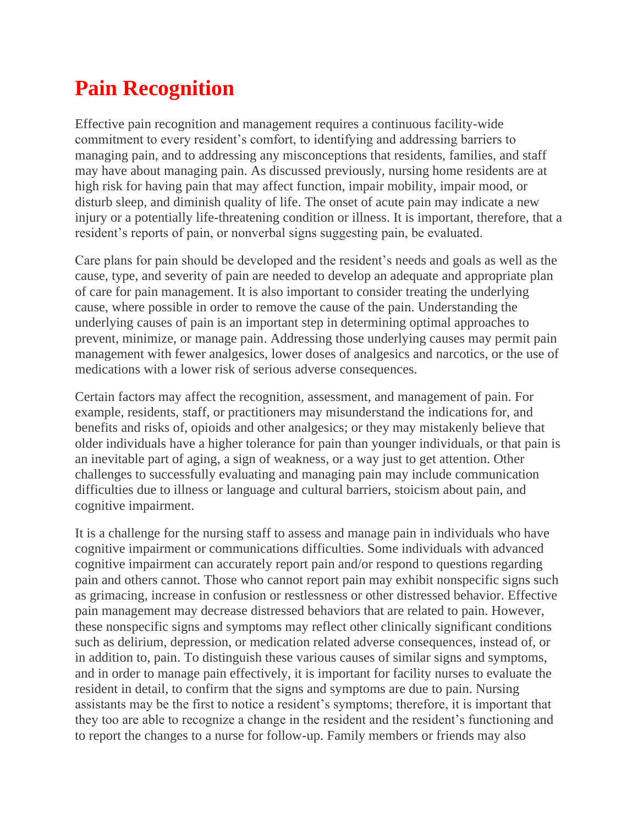## **Pain Recognition**

Effective pain recognition and management requires a continuous facility-wide commitment to every resident's comfort, to identifying and addressing barriers to managing pain, and to addressing any misconceptions that residents, families, and staff may have about managing pain. As discussed previously, nursing home residents are at high risk for having pain that may affect function, impair mobility, impair mood, or disturb sleep, and diminish quality of life. The onset of acute pain may indicate a new injury or a potentially life-threatening condition or illness. It is important, therefore, that a resident's reports of pain, or nonverbal signs suggesting pain, be evaluated.

Care plans for pain should be developed and the resident's needs and goals as well as the cause, type, and severity of pain are needed to develop an adequate and appropriate plan of care for pain management. It is also important to consider treating the underlying cause, where possible in order to remove the cause of the pain. Understanding the underlying causes of pain is an important step in determining optimal approaches to prevent, minimize, or manage pain. Addressing those underlying causes may permit pain management with fewer analgesics, lower doses of analgesics and narcotics, or the use of medications with a lower risk of serious adverse consequences.

Certain factors may affect the recognition, assessment, and management of pain. For example, residents, staff, or practitioners may misunderstand the indications for, and benefits and risks of, opioids and other analgesics; or they may mistakenly believe that older individuals have a higher tolerance for pain than younger individuals, or that pain is an inevitable part of aging, a sign of weakness, or a way just to get attention. Other challenges to successfully evaluating and managing pain may include communication difficulties due to illness or language and cultural barriers, stoicism about pain, and cognitive impairment.

It is a challenge for the nursing staff to assess and manage pain in individuals who have cognitive impairment or communications difficulties. Some individuals with advanced cognitive impairment can accurately report pain and/or respond to questions regarding pain and others cannot. Those who cannot report pain may exhibit nonspecific signs such as grimacing, increase in confusion or restlessness or other distressed behavior. Effective pain management may decrease distressed behaviors that are related to pain. However, these nonspecific signs and symptoms may reflect other clinically significant conditions such as delirium, depression, or medication related adverse consequences, instead of, or in addition to, pain. To distinguish these various causes of similar signs and symptoms, and in order to manage pain effectively, it is important for facility nurses to evaluate the resident in detail, to confirm that the signs and symptoms are due to pain. Nursing assistants may be the first to notice a resident's symptoms; therefore, it is important that they too are able to recognize a change in the resident and the resident's functioning and to report the changes to a nurse for follow-up. Family members or friends may also